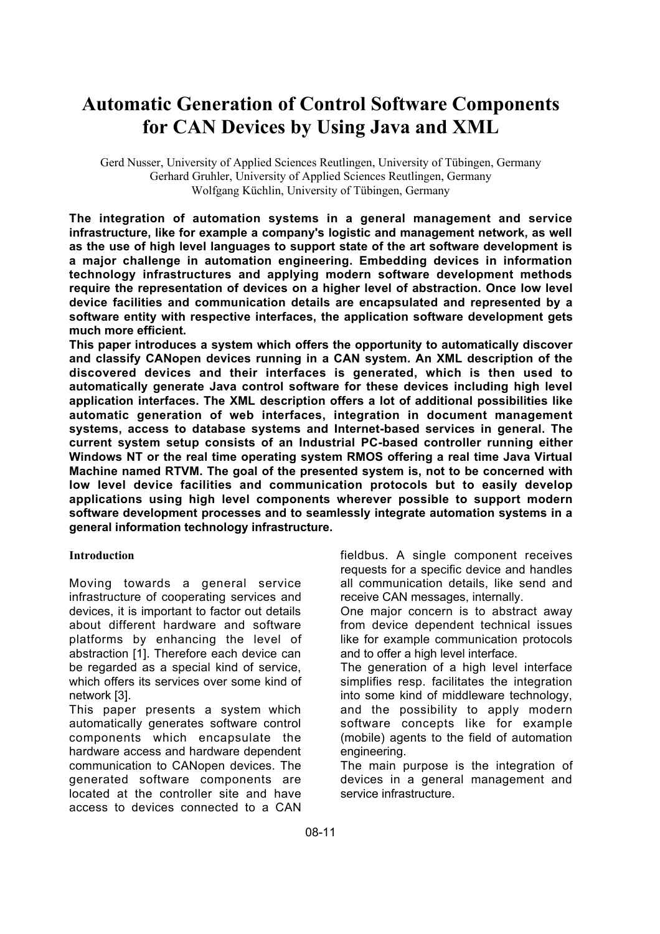# **Automatic Generation of Control Software Components for CAN Devices by Using Java and XML**

Gerd Nusser, University of Applied Sciences Reutlingen, University of Tübingen, Germany Gerhard Gruhler, University of Applied Sciences Reutlingen, Germany Wolfgang Küchlin, University of Tübingen, Germany

**The integration of automation systems in a general management and service infrastructure, like for example a company's logistic and management network, as well as the use of high level languages to support state of the art software development is a major challenge in automation engineering. Embedding devices in information technology infrastructures and applying modern software development methods require the representation of devices on a higher level of abstraction. Once low level device facilities and communication details are encapsulated and represented by a software entity with respective interfaces, the application software development gets much more efficient.**

**This paper introduces a system which offers the opportunity to automatically discover and classify CANopen devices running in a CAN system. An XML description of the discovered devices and their interfaces is generated, which is then used to automatically generate Java control software for these devices including high level application interfaces. The XML description offers a lot of additional possibilities like automatic generation of web interfaces, integration in document management systems, access to database systems and Internet-based services in general. The current system setup consists of an Industrial PC-based controller running either Windows NT or the real time operating system RMOS offering a real time Java Virtual Machine named RTVM. The goal of the presented system is, not to be concerned with low level device facilities and communication protocols but to easily develop applications using high level components wherever possible to support modern software development processes and to seamlessly integrate automation systems in a general information technology infrastructure.**

#### **Introduction**

Moving towards a general service infrastructure of cooperating services and devices, it is important to factor out details about different hardware and software platforms by enhancing the level of abstraction [1]. Therefore each device can be regarded as a special kind of service, which offers its services over some kind of network [3].

This paper presents a system which automatically generates software control components which encapsulate the hardware access and hardware dependent communication to CANopen devices. The generated software components are located at the controller site and have access to devices connected to a CAN fieldbus. A single component receives requests for a specific device and handles all communication details, like send and receive CAN messages, internally.

One major concern is to abstract away from device dependent technical issues like for example communication protocols and to offer a high level interface.

The generation of a high level interface simplifies resp. facilitates the integration into some kind of middleware technology, and the possibility to apply modern software concepts like for example (mobile) agents to the field of automation engineering.

The main purpose is the integration of devices in a general management and service infrastructure.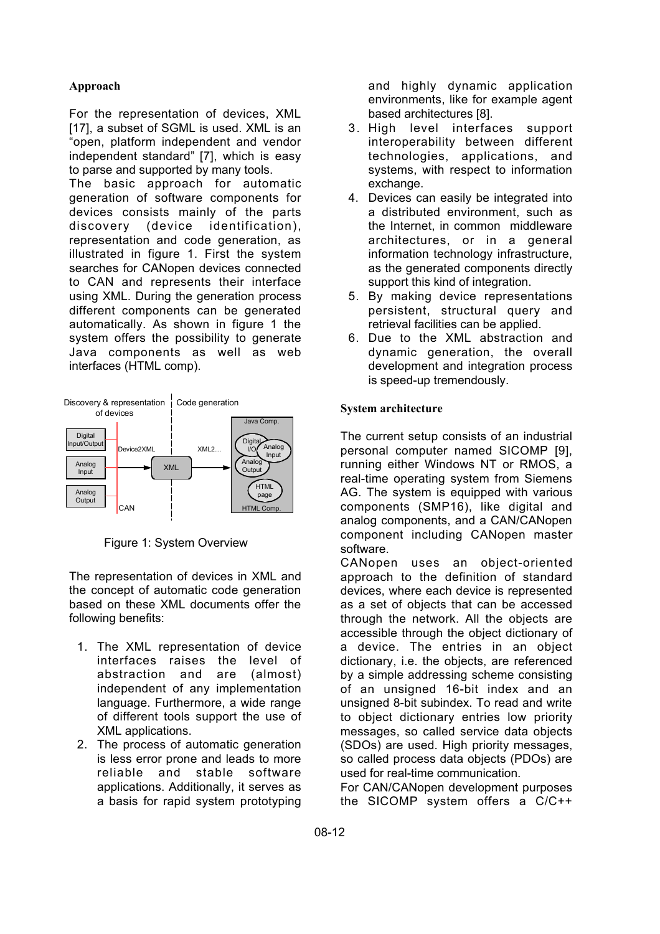## **Approach**

For the representation of devices, XML [17], a subset of SGML is used. XML is an "open, platform independent and vendor independent standard" [7], which is easy to parse and supported by many tools.

The basic approach for automatic generation of software components for devices consists mainly of the parts discovery (device identification), representation and code generation, as illustrated in figure 1. First the system searches for CANopen devices connected to CAN and represents their interface using XML. During the generation process different components can be generated automatically. As shown in figure 1 the system offers the possibility to generate Java components as well as web interfaces (HTML comp).



Figure 1: System Overview

The representation of devices in XML and the concept of automatic code generation based on these XML documents offer the following benefits:

- 1. The XML representation of device interfaces raises the level of abstraction and are (almost) independent of any implementation language. Furthermore, a wide range of different tools support the use of XML applications.
- 2. The process of automatic generation is less error prone and leads to more reliable and stable software applications. Additionally, it serves as a basis for rapid system prototyping

and highly dynamic application environments, like for example agent based architectures [8].

- 3. High level interfaces support interoperability between different technologies, applications, and systems, with respect to information exchange.
- 4. Devices can easily be integrated into a distributed environment, such as the Internet, in common middleware architectures, or in a general information technology infrastructure, as the generated components directly support this kind of integration.
- 5. By making device representations persistent, structural query and retrieval facilities can be applied.
- 6. Due to the XML abstraction and dynamic generation, the overall development and integration process is speed-up tremendously.

### **System architecture**

The current setup consists of an industrial personal computer named SICOMP [9], running either Windows NT or RMOS, a real-time operating system from Siemens AG. The system is equipped with various components (SMP16), like digital and analog components, and a CAN/CANopen component including CANopen master software.

CANopen uses an object-oriented approach to the definition of standard devices, where each device is represented as a set of objects that can be accessed through the network. All the objects are accessible through the object dictionary of a device. The entries in an object dictionary, i.e. the objects, are referenced by a simple addressing scheme consisting of an unsigned 16-bit index and an unsigned 8-bit subindex. To read and write to object dictionary entries low priority messages, so called service data objects (SDOs) are used. High priority messages, so called process data objects (PDOs) are used for real-time communication.

For CAN/CANopen development purposes the SICOMP system offers a C/C++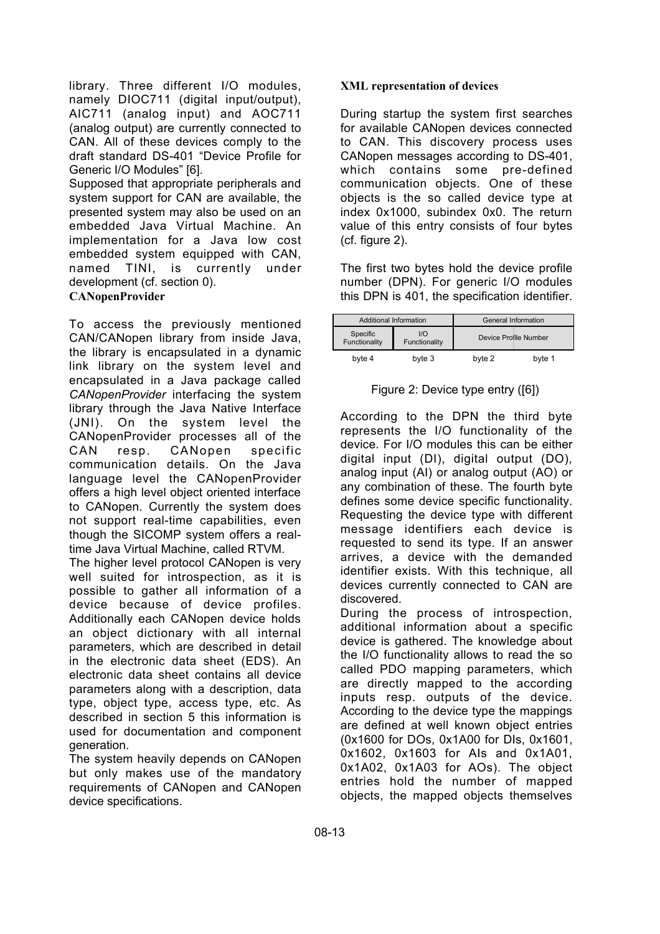library. Three different I/O modules, namely DIOC711 (digital input/output), AIC711 (analog input) and AOC711 (analog output) are currently connected to CAN. All of these devices comply to the draft standard DS-401 "Device Profile for Generic I/O Modules" [6].

Supposed that appropriate peripherals and system support for CAN are available, the presented system may also be used on an embedded Java Virtual Machine. An implementation for a Java low cost embedded system equipped with CAN, named TINI, is currently under development (cf. section 0).

#### **CANopenProvider**

To access the previously mentioned CAN/CANopen library from inside Java, the library is encapsulated in a dynamic link library on the system level and encapsulated in a Java package called *CANopenProvider* interfacing the system library through the Java Native Interface (JNI). On the system level the CANopenProvider processes all of the CAN resp. CANopen specific communication details. On the Java language level the CANopenProvider offers a high level object oriented interface to CANopen. Currently the system does not support real-time capabilities, even though the SICOMP system offers a realtime Java Virtual Machine, called RTVM.

The higher level protocol CANopen is very well suited for introspection, as it is possible to gather all information of a device because of device profiles. Additionally each CANopen device holds an object dictionary with all internal parameters, which are described in detail in the electronic data sheet (EDS). An electronic data sheet contains all device parameters along with a description, data type, object type, access type, etc. As described in section 5 this information is used for documentation and component generation.

The system heavily depends on CANopen but only makes use of the mandatory requirements of CANopen and CANopen device specifications.

#### **XML representation of devices**

During startup the system first searches for available CANopen devices connected to CAN. This discovery process uses CANopen messages according to DS-401, which contains some pre-defined communication objects. One of these objects is the so called device type at index 0x1000, subindex 0x0. The return value of this entry consists of four bytes (cf. figure 2).

The first two bytes hold the device profile number (DPN). For generic I/O modules this DPN is 401, the specification identifier.

| Additional Information    |                      | General Information   |        |
|---------------------------|----------------------|-----------------------|--------|
| Specific<br>Functionality | 1/O<br>Functionality | Device Profile Number |        |
| byte 4                    | byte 3               | byte 2                | byte 1 |

Figure 2: Device type entry ([6])

According to the DPN the third byte represents the I/O functionality of the device. For I/O modules this can be either digital input (DI), digital output (DO), analog input (AI) or analog output (AO) or any combination of these. The fourth byte defines some device specific functionality. Requesting the device type with different message identifiers each device is requested to send its type. If an answer arrives, a device with the demanded identifier exists. With this technique, all devices currently connected to CAN are discovered.

During the process of introspection, additional information about a specific device is gathered. The knowledge about the I/O functionality allows to read the so called PDO mapping parameters, which are directly mapped to the according inputs resp. outputs of the device. According to the device type the mappings are defined at well known object entries (0x1600 for DOs, 0x1A00 for DIs, 0x1601, 0x1602, 0x1603 for AIs and 0x1A01, 0x1A02, 0x1A03 for AOs). The object entries hold the number of mapped objects, the mapped objects themselves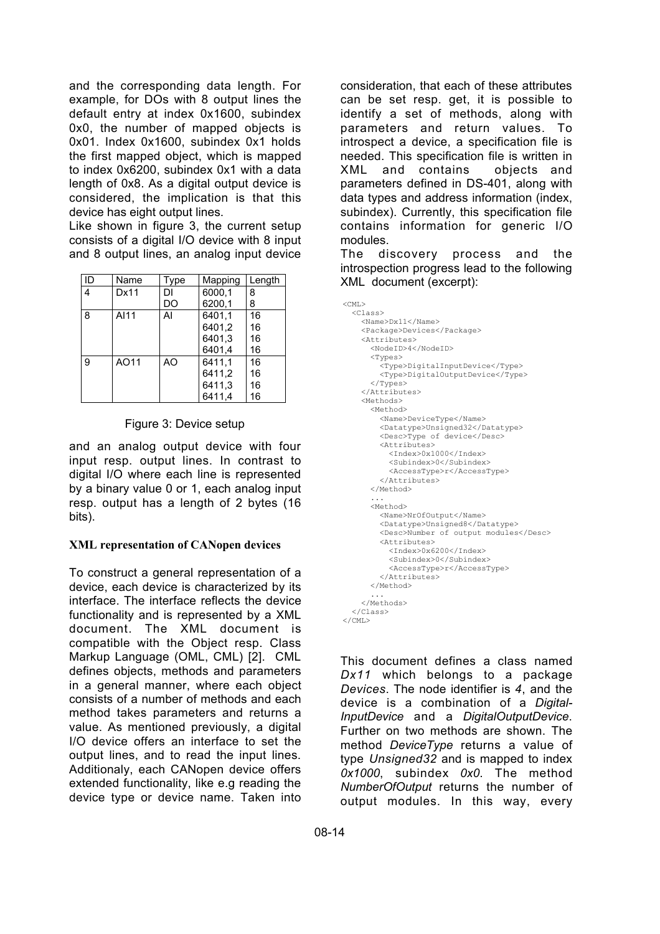and the corresponding data length. For example, for DOs with 8 output lines the default entry at index 0x1600, subindex 0x0, the number of mapped objects is 0x01. Index 0x1600, subindex 0x1 holds the first mapped object, which is mapped to index 0x6200, subindex 0x1 with a data length of 0x8. As a digital output device is considered, the implication is that this device has eight output lines.

Like shown in figure 3, the current setup consists of a digital I/O device with 8 input and 8 output lines, an analog input device

| ID | Name | Type | Mapping | Length |
|----|------|------|---------|--------|
| 4  | Dx11 | DI   | 6000,1  | 8      |
|    |      | DO   | 6200,1  | 8      |
| 8  | AI11 | Al   | 6401.1  | 16     |
|    |      |      | 6401,2  | 16     |
|    |      |      | 6401.3  | 16     |
|    |      |      | 6401,4  | 16     |
| 9  | AO11 | AO   | 6411.1  | 16     |
|    |      |      | 6411,2  | 16     |
|    |      |      | 6411,3  | 16     |
|    |      |      | 6411.4  | 16     |

## Figure 3: Device setup

and an analog output device with four input resp. output lines. In contrast to digital I/O where each line is represented by a binary value 0 or 1, each analog input resp. output has a length of 2 bytes (16 bits).

## **XML representation of CANopen devices**

To construct a general representation of a device, each device is characterized by its interface. The interface reflects the device functionality and is represented by a XML document. The XML document is compatible with the Object resp. Class Markup Language (OML, CML) [2]. CML defines objects, methods and parameters in a general manner, where each object consists of a number of methods and each method takes parameters and returns a value. As mentioned previously, a digital I/O device offers an interface to set the output lines, and to read the input lines. Additionaly, each CANopen device offers extended functionality, like e.g reading the device type or device name. Taken into

consideration, that each of these attributes can be set resp. get, it is possible to identify a set of methods, along with parameters and return values. To introspect a device, a specification file is needed. This specification file is written in XML and contains objects and parameters defined in DS-401, along with data types and address information (index, subindex). Currently, this specification file contains information for generic I/O modules.

The discovery process and the introspection progress lead to the following XML document (excerpt):

| $<$ CML $>$                           |
|---------------------------------------|
| $<$ Class $>$                         |
| $<$ Name $>$ Dx11 $<$ /Name $>$       |
| <package>Devices</package>            |
| <attributes></attributes>             |
| <nodeid>4</nodeid>                    |
| $<$ Types>                            |
| <type>DigitalInputDevice</type>       |
| <type>DigitalOutputDevice</type>      |
|                                       |
|                                       |
| <methods></methods>                   |
| <method></method>                     |
| <name>DeviceType</name>               |
| <datatype>Unsigned32</datatype>       |
| <desc>Type of device</desc>           |
| <attributes></attributes>             |
| <index>0x1000</index>                 |
| <subindex>0</subindex>                |
| <accesstype>r</accesstype>            |
|                                       |
|                                       |
|                                       |
| <method></method>                     |
| <name>NrOfOutput</name>               |
| <datatype>Unsigned8</datatype>        |
| <desc>Number of output modules</desc> |
| <attributes></attributes>             |
| <index>0x6200</index>                 |
| <subindex>0</subindex>                |
| <accesstype>r</accesstype><br>        |
|                                       |
|                                       |
|                                       |
| $\langle$ /Class>                     |
|                                       |
|                                       |

This document defines a class named *Dx11* which belongs to a package *Devices*. The node identifier is *4*, and the device is a combination of a *Digital-InputDevice* and a *DigitalOutputDevice*. Further on two methods are shown. The method *DeviceType* returns a value of type *Unsigned32* and is mapped to index *0x1000*, subindex *0x0*. The method *NumberOfOutput* returns the number of output modules. In this way, every

 $\overline{\mathcal{L}}$ 

 $\overline{<}$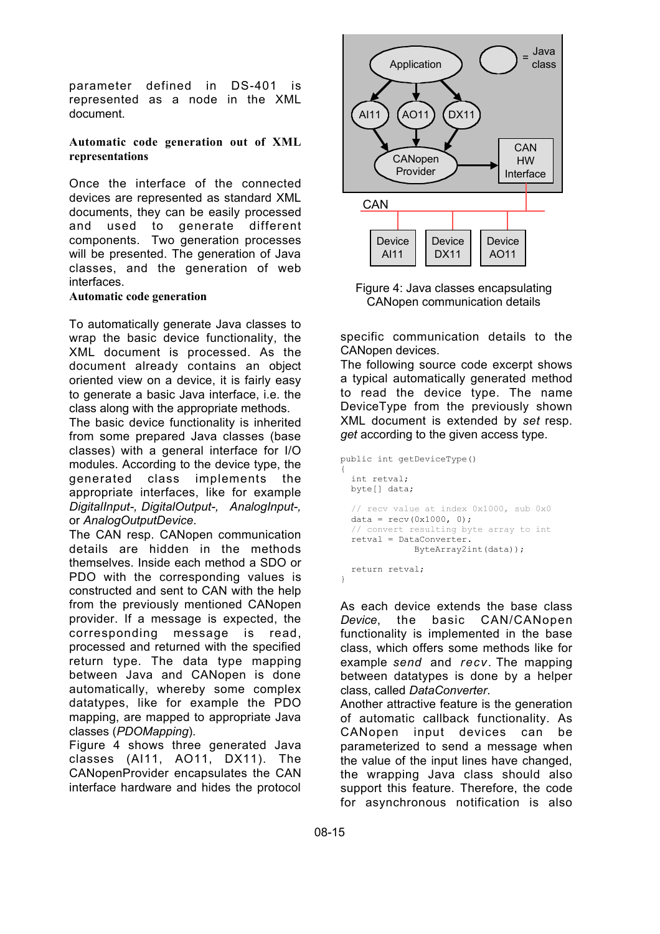parameter defined in DS-401 is represented as a node in the XML document.

#### **Automatic code generation out of XML representations**

Once the interface of the connected devices are represented as standard XML documents, they can be easily processed and used to generate different components. Two generation processes will be presented. The generation of Java classes, and the generation of web interfaces.

#### **Automatic code generation**

To automatically generate Java classes to wrap the basic device functionality, the XML document is processed. As the document already contains an object oriented view on a device, it is fairly easy to generate a basic Java interface, i.e. the class along with the appropriate methods.

The basic device functionality is inherited from some prepared Java classes (base classes) with a general interface for I/O modules. According to the device type, the generated class implements the appropriate interfaces, like for example *DigitalInput-, DigitalOutput-, AnalogInput-,* or *AnalogOutputDevice*.

The CAN resp. CANopen communication details are hidden in the methods themselves. Inside each method a SDO or PDO with the corresponding values is constructed and sent to CAN with the help from the previously mentioned CANopen provider. If a message is expected, the corresponding message is read, processed and returned with the specified return type. The data type mapping between Java and CANopen is done automatically, whereby some complex datatypes, like for example the PDO mapping, are mapped to appropriate Java classes (*PDOMapping*).

Figure 4 shows three generated Java classes (AI11, AO11, DX11). The CANopenProvider encapsulates the CAN interface hardware and hides the protocol



Figure 4: Java classes encapsulating CANopen communication details

specific communication details to the CANopen devices.

The following source code excerpt shows a typical automatically generated method to read the device type. The name DeviceType from the previously shown XML document is extended by *set* resp. *get* according to the given access type.

```
public int getDeviceType()
\tilde{i} int retval;
   byte[] data;
   // recv value at index 0x1000, sub 0x0
  data = recv(0x1000, 0); // convert resulting byte array to int
   retval = DataConverter.
               ByteArray2int(data));
   return retval;
}
```
As each device extends the base class *Device*, the basic CAN/CANopen functionality is implemented in the base class, which offers some methods like for example *send* and *recv*. The mapping between datatypes is done by a helper class, called *DataConverter*.

Another attractive feature is the generation of automatic callback functionality. As CANopen input devices can be parameterized to send a message when the value of the input lines have changed, the wrapping Java class should also support this feature. Therefore, the code for asynchronous notification is also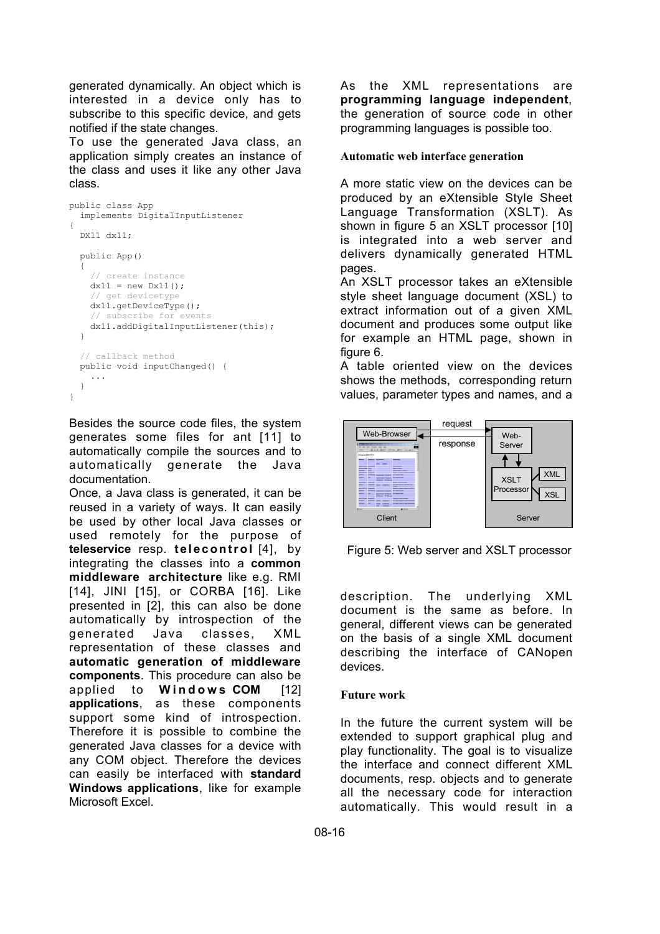generated dynamically. An object which is interested in a device only has to subscribe to this specific device, and gets notified if the state changes.

To use the generated Java class, an application simply creates an instance of the class and uses it like any other Java class.

```
public class App
   implements DigitalInputListener
{
   DX11 dx11;
   public App()
\sqrt{1} // create instance
    dx11 = new Dx11(); // get devicetype
     dx11.getDeviceType();
     // subscribe for events
     dx11.addDigitalInputListener(this);
\rightarrow // callback method
   public void inputChanged() {
     ...
   }
}
```
Besides the source code files, the system generates some files for ant [11] to automatically compile the sources and to automatically generate the Java documentation.

Once, a Java class is generated, it can be reused in a variety of ways. It can easily be used by other local Java classes or used remotely for the purpose of **teleservice** resp. **telecontrol** [4], by integrating the classes into a **common middleware architecture** like e.g. RMI [14], JINI [15], or CORBA [16]. Like presented in [2], this can also be done automatically by introspection of the generated Java classes, XML representation of these classes and **automatic generation of middleware components**. This procedure can also be applied to **Windows COM** [12] **applications**, as these components support some kind of introspection. Therefore it is possible to combine the generated Java classes for a device with any COM object. Therefore the devices can easily be interfaced with **standard Windows applications**, like for example Microsoft Excel.

As the XML representations are **programming language independent**, the generation of source code in other programming languages is possible too.

### **Automatic web interface generation**

A more static view on the devices can be produced by an eXtensible Style Sheet Language Transformation (XSLT). As shown in figure 5 an XSLT processor [10] is integrated into a web server and delivers dynamically generated HTML pages.

An XSLT processor takes an eXtensible style sheet language document (XSL) to extract information out of a given XML document and produces some output like for example an HTML page, shown in figure 6.

A table oriented view on the devices shows the methods, corresponding return values, parameter types and names, and a



Figure 5: Web server and XSLT processor

description. The underlying XML document is the same as before. In general, different views can be generated on the basis of a single XML document describing the interface of CANopen devices.

## **Future work**

In the future the current system will be extended to support graphical plug and play functionality. The goal is to visualize the interface and connect different XML documents, resp. objects and to generate all the necessary code for interaction automatically. This would result in a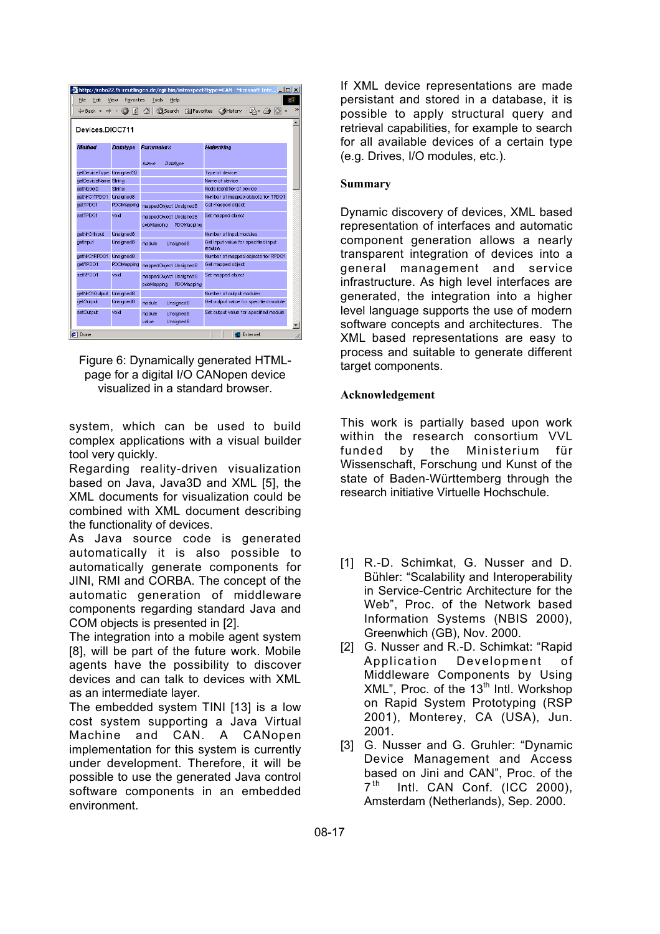| http://robo22.fh-reutlingen.de/cqi-bin/introspect?type=CAN - Microsoft Inte III X                  |                 |                                                    |                                               |  |  |
|----------------------------------------------------------------------------------------------------|-----------------|----------------------------------------------------|-----------------------------------------------|--|--|
| File<br>Edit<br>Favorites<br>Tools<br>View<br>Help                                                 |                 |                                                    |                                               |  |  |
| $\rightarrow$<br><b>O</b> Search<br>団<br><b>RailFavorites AHistory</b><br>B- 8 G<br>ø<br><br>\star |                 |                                                    |                                               |  |  |
| Devices.DIOC711                                                                                    |                 |                                                    |                                               |  |  |
| Method                                                                                             | <b>Datatvoe</b> | <b>Parameters</b>                                  | Helostrino                                    |  |  |
|                                                                                                    |                 | Name<br>Datatype                                   |                                               |  |  |
| getDeviceType Unsigned32                                                                           |                 |                                                    | Type of device                                |  |  |
| aetDeviceName String                                                                               |                 |                                                    | Name of device                                |  |  |
| getNodelD                                                                                          | String          |                                                    | Node identifier of device                     |  |  |
| getNrOfTPDO1                                                                                       | Unsigned8       |                                                    | Number of mapped objects for TPDO1            |  |  |
| getTPDO1                                                                                           | PDOMapping      | mappedObject Unsigned8                             | Get mapped object                             |  |  |
| setTPDO1                                                                                           | void            | mappedObject Unsigned8<br>PDOMapping<br>pdoMapping | Set mapped object                             |  |  |
| getNrOfInput                                                                                       | Unsigned8       |                                                    | Number of input modules                       |  |  |
| getInput                                                                                           | Unsigned8       | module<br>Unsigned8                                | Get input value for specified input<br>module |  |  |
| aetNrOfRPDO1                                                                                       | Unsigned8       |                                                    | Number of mapped objects for RPDO1            |  |  |
| getRPDO1                                                                                           | PDOMapping      | mappedObject Unsigned8                             | Get mapped object                             |  |  |
| setRPDO1                                                                                           | void            | mappedObject Unsigned8<br>PDOMapping<br>pdoMapping | Set mapped object                             |  |  |
| getNrOfOutput                                                                                      | Unsigned8       |                                                    | Number of output modules                      |  |  |
| getOutput                                                                                          | Unsigned8       | module<br>Unsigned8                                | Get output value for specified module         |  |  |
| setOutput                                                                                          | void            | module<br>Unsigned8<br>value<br>Unsigned8          | Set output value for specified module         |  |  |
| 21 Done<br>Internet                                                                                |                 |                                                    |                                               |  |  |

Figure 6: Dynamically generated HTMLpage for a digital I/O CANopen device visualized in a standard browser.

system, which can be used to build complex applications with a visual builder tool very quickly.

Regarding reality-driven visualization based on Java, Java3D and XML [5], the XML documents for visualization could be combined with XML document describing the functionality of devices.

As Java source code is generated automatically it is also possible to automatically generate components for JINI, RMI and CORBA. The concept of the automatic generation of middleware components regarding standard Java and COM objects is presented in [2].

The integration into a mobile agent system [8], will be part of the future work. Mobile agents have the possibility to discover devices and can talk to devices with XML as an intermediate layer.

The embedded system TINI [13] is a low cost system supporting a Java Virtual Machine and CAN. A CANopen implementation for this system is currently under development. Therefore, it will be possible to use the generated Java control software components in an embedded environment.

If XML device representations are made persistant and stored in a database, it is possible to apply structural query and retrieval capabilities, for example to search for all available devices of a certain type (e.g. Drives, I/O modules, etc.).

## **Summary**

Dynamic discovery of devices, XML based representation of interfaces and automatic component generation allows a nearly transparent integration of devices into a general management and service infrastructure. As high level interfaces are generated, the integration into a higher level language supports the use of modern software concepts and architectures. The XML based representations are easy to process and suitable to generate different target components.

## **Acknowledgement**

This work is partially based upon work within the research consortium VVL funded by the Ministerium für Wissenschaft, Forschung und Kunst of the state of Baden-Württemberg through the research initiative Virtuelle Hochschule.

- [1] R.-D. Schimkat, G. Nusser and D. Bühler: "Scalability and Interoperability in Service-Centric Architecture for the Web", Proc. of the Network based Information Systems (NBIS 2000), Greenwhich (GB), Nov. 2000.
- [2] G. Nusser and R.-D. Schimkat: "Rapid Application Development of Middleware Components by Using  $XML$ ", Proc. of the 13<sup>th</sup> Intl. Workshop on Rapid System Prototyping (RSP 2001), Monterey, CA (USA), Jun. 2001.
- [3] G. Nusser and G. Gruhler: "Dynamic Device Management and Access based on Jini and CAN", Proc. of the  $7<sup>th</sup>$  Intl. CAN Conf. (ICC 2000), Amsterdam (Netherlands), Sep. 2000.